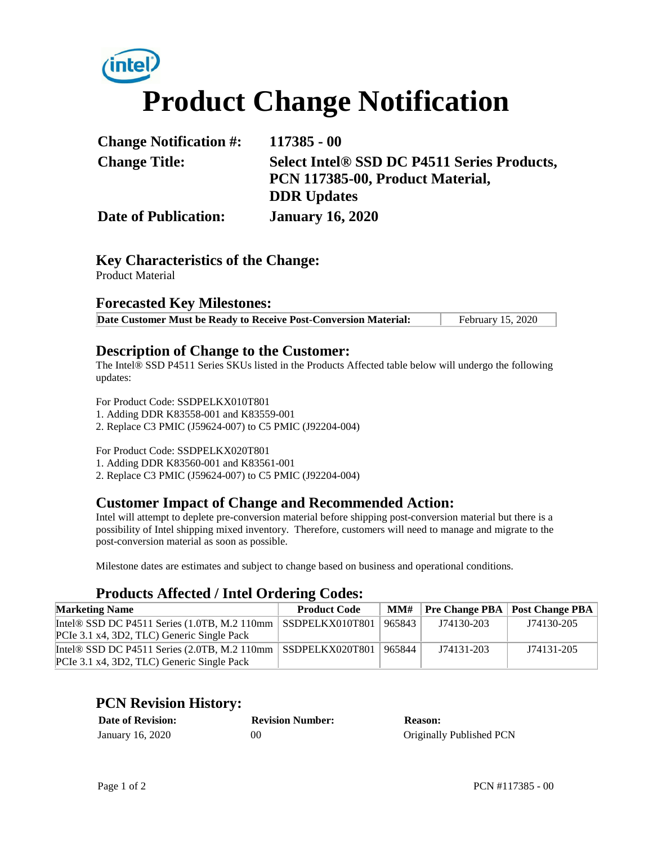# **Product Change Notification**

| <b>Change Notification #:</b> | $117385 - 00$                                           |  |
|-------------------------------|---------------------------------------------------------|--|
| <b>Change Title:</b>          | Select Intel <sup>®</sup> SSD DC P4511 Series Products, |  |
|                               | PCN 117385-00, Product Material,                        |  |
|                               | <b>DDR</b> Updates                                      |  |
| <b>Date of Publication:</b>   | <b>January 16, 2020</b>                                 |  |

#### **Key Characteristics of the Change:**

Product Material

#### **Forecasted Key Milestones:**

**Date Customer Must be Ready to Receive Post-Conversion Material:** February 15, 2020

#### **Description of Change to the Customer:**

The Intel® SSD P4511 Series SKUs listed in the Products Affected table below will undergo the following updates:

For Product Code: SSDPELKX010T801 1. Adding DDR K83558-001 and K83559-001 2. Replace C3 PMIC (J59624-007) to C5 PMIC (J92204-004)

For Product Code: SSDPELKX020T801

1. Adding DDR K83560-001 and K83561-001

2. Replace C3 PMIC (J59624-007) to C5 PMIC (J92204-004)

### **Customer Impact of Change and Recommended Action:**

Intel will attempt to deplete pre-conversion material before shipping post-conversion material but there is a possibility of Intel shipping mixed inventory. Therefore, customers will need to manage and migrate to the post-conversion material as soon as possible.

Milestone dates are estimates and subject to change based on business and operational conditions.

### **Products Affected / Intel Ordering Codes:**

| <b>Marketing Name</b>                                               | <b>Product Code</b> |        |            | $MM#$ Pre Change PBA   Post Change PBA |
|---------------------------------------------------------------------|---------------------|--------|------------|----------------------------------------|
| Intel® SSD DC P4511 Series $(1.0TB, M.2 110mm \mid$ SSDPELKX010T801 |                     | 965843 | J74130-203 | J74130-205                             |
| PCIe 3.1 x4, 3D2, TLC) Generic Single Pack                          |                     |        |            |                                        |
| Intel® SSD DC P4511 Series $(2.0TB, M.2 110mm \mid$ SSDPELKX020T801 |                     | 965844 | J74131-203 | J74131-205                             |
| PCIe 3.1 x4, 3D2, TLC) Generic Single Pack                          |                     |        |            |                                        |

### **PCN Revision History:**

| <b>Date of Revision:</b> | <b>Revision Number:</b> | <b>Reason:</b>           |
|--------------------------|-------------------------|--------------------------|
| January 16, 2020         | 00                      | Originally Published PCN |